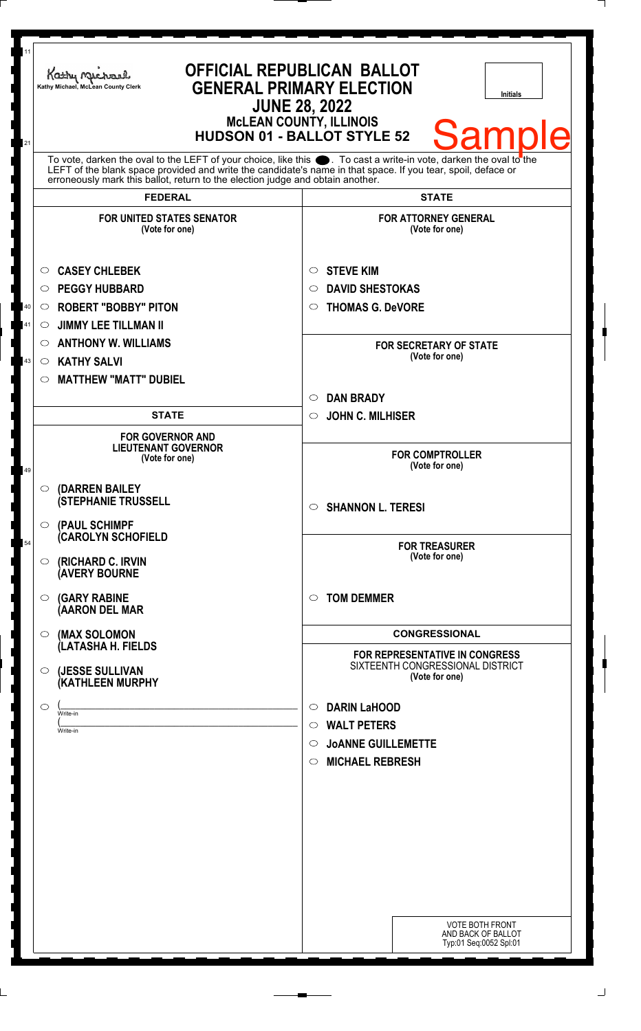| 11 |                                                                                                                                                                                                                                                                                                                  |                                                                                         |
|----|------------------------------------------------------------------------------------------------------------------------------------------------------------------------------------------------------------------------------------------------------------------------------------------------------------------|-----------------------------------------------------------------------------------------|
|    | Kathy Michael<br>Kathy Michael, McLean County Clerk<br><b>JUNE 28, 2022</b><br><b>MCLEAN COUNTY, ILLINOIS</b>                                                                                                                                                                                                    | <b>OFFICIAL REPUBLICAN BALLOT</b><br><b>GENERAL PRIMARY ELECTION</b><br><b>Initials</b> |
| 21 |                                                                                                                                                                                                                                                                                                                  | Samı<br><b>HUDSON 01 - BALLOT STYLE 52</b>                                              |
|    | To vote, darken the oval to the LEFT of your choice, like this section To cast a write-in vote, darken the oval to the LEFT of the blank space provided and write the candidate's name in that space. If you tear, spoil, defa<br>erroneously mark this ballot, return to the election judge and obtain another. |                                                                                         |
|    | <b>FEDERAL</b>                                                                                                                                                                                                                                                                                                   | <b>STATE</b>                                                                            |
|    | <b>FOR UNITED STATES SENATOR</b><br>(Vote for one)                                                                                                                                                                                                                                                               | <b>FOR ATTORNEY GENERAL</b><br>(Vote for one)                                           |
|    | <b>CASEY CHLEBEK</b><br>$\circ$                                                                                                                                                                                                                                                                                  | <b>STEVE KIM</b><br>$\circ$                                                             |
|    | <b>PEGGY HUBBARD</b><br>$\bigcirc$                                                                                                                                                                                                                                                                               | <b>DAVID SHESTOKAS</b><br>$\circ$                                                       |
| 40 | <b>ROBERT "BOBBY" PITON</b><br>$\circ$                                                                                                                                                                                                                                                                           | <b>THOMAS G. DeVORE</b><br>$\circ$                                                      |
| 41 | <b>JIMMY LEE TILLMAN II</b><br>$\circ$                                                                                                                                                                                                                                                                           |                                                                                         |
|    | $\circ$ ANTHONY W. WILLIAMS                                                                                                                                                                                                                                                                                      | <b>FOR SECRETARY OF STATE</b>                                                           |
| 43 | <b>KATHY SALVI</b><br>$\circ$                                                                                                                                                                                                                                                                                    | (Vote for one)                                                                          |
|    | <b>MATTHEW "MATT" DUBIEL</b><br>$\circ$                                                                                                                                                                                                                                                                          |                                                                                         |
|    |                                                                                                                                                                                                                                                                                                                  | <b>DAN BRADY</b><br>$\circlearrowright$                                                 |
|    | <b>STATE</b>                                                                                                                                                                                                                                                                                                     | <b>JOHN C. MILHISER</b><br>$\circ$                                                      |
|    | <b>FOR GOVERNOR AND</b><br><b>LIEUTENANT GOVERNOR</b><br>(Vote for one)                                                                                                                                                                                                                                          | <b>FOR COMPTROLLER</b>                                                                  |
| 49 |                                                                                                                                                                                                                                                                                                                  | (Vote for one)                                                                          |
|    | <b>(DARREN BAILEY</b><br>$\bigcirc$<br><b>(STEPHANIE TRUSSELL</b>                                                                                                                                                                                                                                                | $\circ$ SHANNON L. TERESI                                                               |
|    | (PAUL SCHIMPF<br>$\circ$<br><b>CAROLYN SCHOFIELD</b>                                                                                                                                                                                                                                                             |                                                                                         |
| 54 | (RICHARD C. IRVIN<br>$\circ$<br><b>(AVERY BOURNE</b>                                                                                                                                                                                                                                                             | <b>FOR TREASURER</b><br>(Vote for one)                                                  |
|    | <b>(GARY RABINE</b><br>$\circ$<br>(AARON DEL MAR                                                                                                                                                                                                                                                                 | <b>TOM DEMMER</b><br>$\circ$                                                            |
|    | (MAX SOLOMON<br>$\circ$                                                                                                                                                                                                                                                                                          | <b>CONGRESSIONAL</b>                                                                    |
|    | (LATASHA H. FIELDS                                                                                                                                                                                                                                                                                               | FOR REPRESENTATIVE IN CONGRESS                                                          |
|    | (JESSE SULLIVAN<br>$\circ$<br>(KATHLEEN MURPHY                                                                                                                                                                                                                                                                   | SIXTEENTH CONGRESSIONAL DISTRICT<br>(Vote for one)                                      |
|    | $\circ$<br>Write-in                                                                                                                                                                                                                                                                                              | <b>DARIN LaHOOD</b><br>$\circ$                                                          |
|    | Write-in                                                                                                                                                                                                                                                                                                         | $\circ$ WALT PETERS                                                                     |
|    |                                                                                                                                                                                                                                                                                                                  | <b>JOANNE GUILLEMETTE</b><br>$\circ$                                                    |
|    |                                                                                                                                                                                                                                                                                                                  | <b>MICHAEL REBRESH</b><br>$\circ$                                                       |
|    |                                                                                                                                                                                                                                                                                                                  |                                                                                         |
|    |                                                                                                                                                                                                                                                                                                                  |                                                                                         |
|    |                                                                                                                                                                                                                                                                                                                  |                                                                                         |
|    |                                                                                                                                                                                                                                                                                                                  |                                                                                         |
|    |                                                                                                                                                                                                                                                                                                                  |                                                                                         |
|    |                                                                                                                                                                                                                                                                                                                  |                                                                                         |
|    |                                                                                                                                                                                                                                                                                                                  |                                                                                         |
|    |                                                                                                                                                                                                                                                                                                                  |                                                                                         |
|    |                                                                                                                                                                                                                                                                                                                  | <b>VOTE BOTH FRONT</b><br>AND BACK OF BALLOT<br>Typ:01 Seq:0052 Spl:01                  |
|    |                                                                                                                                                                                                                                                                                                                  |                                                                                         |

 $\perp$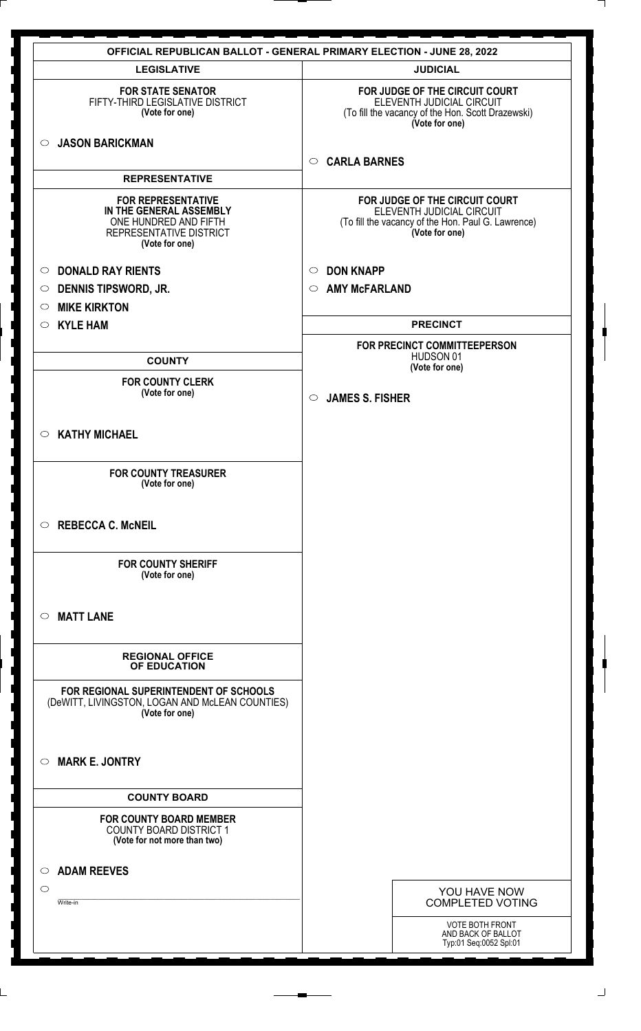|                                                                                                                            | <b>OFFICIAL REPUBLICAN BALLOT - GENERAL PRIMARY ELECTION - JUNE 28, 2022</b>                                                        |
|----------------------------------------------------------------------------------------------------------------------------|-------------------------------------------------------------------------------------------------------------------------------------|
| <b>LEGISLATIVE</b>                                                                                                         | <b>JUDICIAL</b>                                                                                                                     |
| <b>FOR STATE SENATOR</b><br>FIFTY-THIRD LEGISLATIVE DISTRICT<br>(Vote for one)                                             | FOR JUDGE OF THE CIRCUIT COURT<br>ELEVENTH JUDICIAL CIRCUIT<br>(To fill the vacancy of the Hon. Scott Drazewski)<br>(Vote for one)  |
| <b>JASON BARICKMAN</b><br>$\circ$                                                                                          | <b>CARLA BARNES</b><br>$\circ$                                                                                                      |
| <b>REPRESENTATIVE</b>                                                                                                      |                                                                                                                                     |
| <b>FOR REPRESENTATIVE</b><br>IN THE GENERAL ASSEMBLY<br>ONE HUNDRED AND FIFTH<br>REPRESENTATIVE DISTRICT<br>(Vote for one) | FOR JUDGE OF THE CIRCUIT COURT<br>ELEVENTH JUDICIAL CIRCUIT<br>(To fill the vacancy of the Hon. Paul G. Lawrence)<br>(Vote for one) |
| <b>DONALD RAY RIENTS</b><br>$\circ$                                                                                        | <b>DON KNAPP</b><br>$\circ$                                                                                                         |
| <b>DENNIS TIPSWORD, JR.</b><br>$\circ$                                                                                     | <b>AMY McFARLAND</b><br>$\circ$                                                                                                     |
| <b>MIKE KIRKTON</b><br>$\circ$                                                                                             |                                                                                                                                     |
| <b>KYLE HAM</b><br>$\circ$                                                                                                 | <b>PRECINCT</b>                                                                                                                     |
| <b>COUNTY</b>                                                                                                              | FOR PRECINCT COMMITTEEPERSON<br>HUDSON 01                                                                                           |
| <b>FOR COUNTY CLERK</b>                                                                                                    | (Vote for one)                                                                                                                      |
| (Vote for one)                                                                                                             | <b>JAMES S. FISHER</b><br>$\circ$                                                                                                   |
| <b>KATHY MICHAEL</b><br>$\circ$                                                                                            |                                                                                                                                     |
| <b>FOR COUNTY TREASURER</b><br>(Vote for one)                                                                              |                                                                                                                                     |
| <b>REBECCA C. McNEIL</b><br>$\circ$                                                                                        |                                                                                                                                     |
| <b>FOR COUNTY SHERIFF</b><br>(Vote for one)                                                                                |                                                                                                                                     |
| <b>MATT LANE</b><br>◯                                                                                                      |                                                                                                                                     |
| <b>REGIONAL OFFICE</b><br>OF EDUCATION                                                                                     |                                                                                                                                     |
| FOR REGIONAL SUPERINTENDENT OF SCHOOLS<br>(DeWITT, LIVINGSTON, LOGAN AND McLEAN COUNTIES)<br>(Vote for one)                |                                                                                                                                     |
| <b>MARK E. JONTRY</b><br>◯                                                                                                 |                                                                                                                                     |
| <b>COUNTY BOARD</b>                                                                                                        |                                                                                                                                     |
| <b>FOR COUNTY BOARD MEMBER</b><br><b>COUNTY BOARD DISTRICT 1</b><br>(Vote for not more than two)                           |                                                                                                                                     |
| <b>ADAM REEVES</b><br>◯                                                                                                    |                                                                                                                                     |
| $\circ$                                                                                                                    | YOU HAVE NOW                                                                                                                        |
| Write-in                                                                                                                   | <b>COMPLETED VOTING</b>                                                                                                             |
|                                                                                                                            | VOTE BOTH FRONT                                                                                                                     |
|                                                                                                                            | AND BACK OF BALLOT<br>Typ:01 Seq:0052 Spl:01                                                                                        |

 $\perp$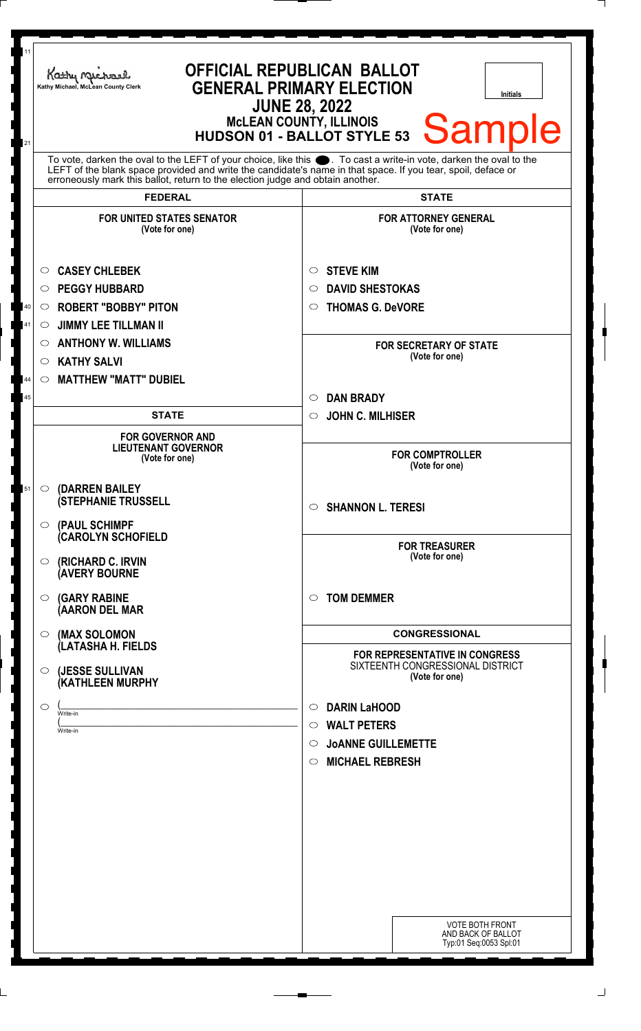| 11             | Kathy Michael<br>Kathy Michael, McLean County Clerk                                                                                                                                                                                                                                                                                   | <b>OFFICIAL REPUBLICAN BALLOT</b><br><b>GENERAL PRIMARY ELECTION</b><br><b>Initials</b><br><b>JUNE 28, 2022</b><br><b>McLEAN COUNTY, ILLINOIS</b><br><b>Sample</b><br><b>HUDSON 01 - BALLOT STYLE 53</b> |
|----------------|---------------------------------------------------------------------------------------------------------------------------------------------------------------------------------------------------------------------------------------------------------------------------------------------------------------------------------------|----------------------------------------------------------------------------------------------------------------------------------------------------------------------------------------------------------|
| 21             | To vote, darken the oval to the LEFT of your choice, like this ●. To cast a write-in vote, darken the oval to the<br>LEFT of the blank space provided and write the candidate's name in that space. If you tear, spoil, deface or<br>erroneously mark this ballot, return to the election judge and obtain another.<br><b>FEDERAL</b> | <b>STATE</b>                                                                                                                                                                                             |
|                | <b>FOR UNITED STATES SENATOR</b><br>(Vote for one)                                                                                                                                                                                                                                                                                    | <b>FOR ATTORNEY GENERAL</b><br>(Vote for one)                                                                                                                                                            |
| 40<br>41<br>44 | <b>CASEY CHLEBEK</b><br>$\circ$<br><b>PEGGY HUBBARD</b><br>O<br><b>ROBERT "BOBBY" PITON</b><br>$\circ$<br><b>JIMMY LEE TILLMAN II</b><br>O<br><b>ANTHONY W. WILLIAMS</b><br>O<br><b>KATHY SALVI</b><br>$\circlearrowright$<br><b>MATTHEW "MATT" DUBIEL</b><br>$\circ$                                                                 | <b>STEVE KIM</b><br>$\circ$<br><b>DAVID SHESTOKAS</b><br>◯<br><b>THOMAS G. DeVORE</b><br>$\circ$<br><b>FOR SECRETARY OF STATE</b><br>(Vote for one)                                                      |
| 45             | <b>STATE</b>                                                                                                                                                                                                                                                                                                                          | <b>DAN BRADY</b><br>$\circ$<br><b>JOHN C. MILHISER</b><br>$\circ$                                                                                                                                        |
|                | <b>FOR GOVERNOR AND</b><br><b>LIEUTENANT GOVERNOR</b><br>(Vote for one)                                                                                                                                                                                                                                                               | <b>FOR COMPTROLLER</b><br>(Vote for one)                                                                                                                                                                 |
| 51             | (DARREN BAILEY<br>$\circ$<br><b>(STEPHANIE TRUSSELL</b><br>$\circ$ (PAUL SCHIMPF                                                                                                                                                                                                                                                      | <b>SHANNON L. TERESI</b><br>$\circ$                                                                                                                                                                      |
|                | <b>CAROLYN SCHOFIELD</b><br>$\circ$ (RICHARD C. IRVIN<br><b>(AVERY BOURNE</b>                                                                                                                                                                                                                                                         | <b>FOR TREASURER</b><br>(Vote for one)                                                                                                                                                                   |
|                | $\circ$ (GARY RABINE<br>(AARON DEL MAR                                                                                                                                                                                                                                                                                                | <b>TOM DEMMER</b><br>◯                                                                                                                                                                                   |
|                | $\circ$ (MAX SOLOMON<br>(LATASHA H. FIELDS                                                                                                                                                                                                                                                                                            | <b>CONGRESSIONAL</b><br><b>FOR REPRESENTATIVE IN CONGRESS</b><br>SIXTEENTH CONGRESSIONAL DISTRICT                                                                                                        |
|                | (JESSE SULLIVAN<br>$\circ$<br>(KATHLEEN MURPHY<br>$\circ$<br>Write-in<br>Write-in                                                                                                                                                                                                                                                     | (Vote for one)<br><b>DARIN LaHOOD</b><br>$\circ$<br><b>WALT PETERS</b><br>$\circ$                                                                                                                        |
|                |                                                                                                                                                                                                                                                                                                                                       | <b>JOANNE GUILLEMETTE</b><br>$\circ$<br><b>MICHAEL REBRESH</b><br>$\circ$                                                                                                                                |
|                |                                                                                                                                                                                                                                                                                                                                       |                                                                                                                                                                                                          |
|                |                                                                                                                                                                                                                                                                                                                                       | <b>VOTE BOTH FRONT</b><br>AND BACK OF BALLOT<br>Typ:01 Seq:0053 Spl:01                                                                                                                                   |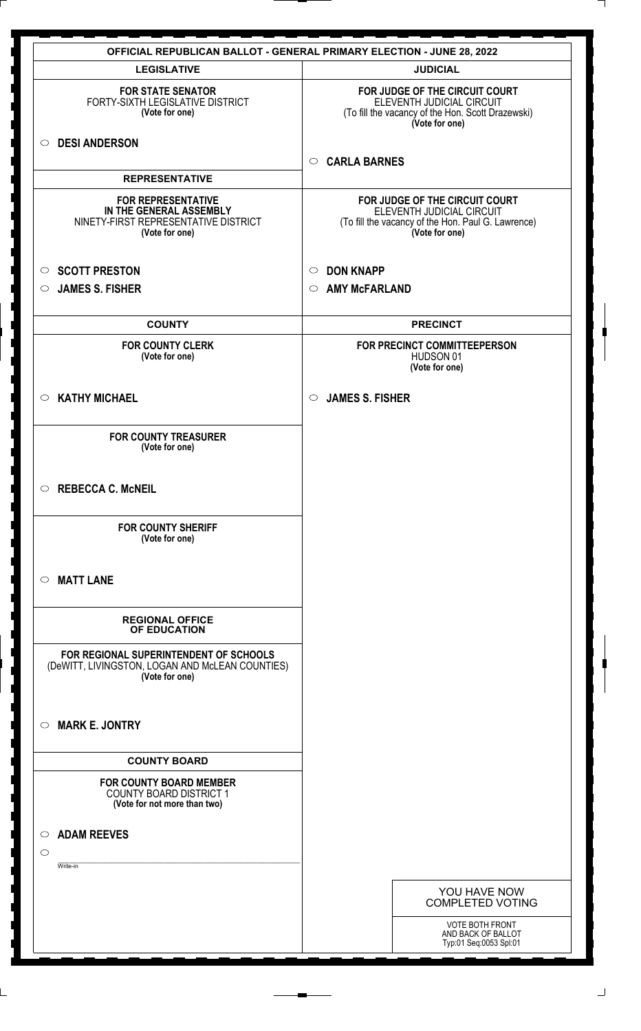| <b>OFFICIAL REPUBLICAN BALLOT - GENERAL PRIMARY ELECTION - JUNE 28, 2022</b>                                   |                                                                                                                                     |
|----------------------------------------------------------------------------------------------------------------|-------------------------------------------------------------------------------------------------------------------------------------|
| <b>LEGISLATIVE</b>                                                                                             | <b>JUDICIAL</b>                                                                                                                     |
| <b>FOR STATE SENATOR</b><br>FORTY-SIXTH LEGISLATIVE DISTRICT<br>(Vote for one)                                 | FOR JUDGE OF THE CIRCUIT COURT<br>ELEVENTH JUDICIAL CIRCUIT<br>(To fill the vacancy of the Hon. Scott Drazewski)<br>(Vote for one)  |
| <b>DESI ANDERSON</b><br>$\circ$                                                                                | <b>CARLA BARNES</b><br>$\circ$                                                                                                      |
| <b>REPRESENTATIVE</b>                                                                                          |                                                                                                                                     |
| <b>FOR REPRESENTATIVE</b><br>IN THE GENERAL ASSEMBLY<br>NINETY-FIRST REPRESENTATIVE DISTRICT<br>(Vote for one) | FOR JUDGE OF THE CIRCUIT COURT<br>ELEVENTH JUDICIAL CIRCUIT<br>(To fill the vacancy of the Hon. Paul G. Lawrence)<br>(Vote for one) |
| <b>SCOTT PRESTON</b><br>$\circ$                                                                                | <b>DON KNAPP</b><br>$\circ$                                                                                                         |
| <b>JAMES S. FISHER</b><br>$\circ$                                                                              | <b>AMY McFARLAND</b><br>$\circ$                                                                                                     |
| <b>COUNTY</b>                                                                                                  | <b>PRECINCT</b>                                                                                                                     |
| <b>FOR COUNTY CLERK</b><br>(Vote for one)                                                                      | FOR PRECINCT COMMITTEEPERSON<br>HUDSON 01<br>(Vote for one)                                                                         |
| <b>KATHY MICHAEL</b><br>$\circ$                                                                                | <b>JAMES S. FISHER</b><br>$\circ$                                                                                                   |
| <b>FOR COUNTY TREASURER</b><br>(Vote for one)                                                                  |                                                                                                                                     |
| <b>REBECCA C. McNEIL</b><br>$\circ$                                                                            |                                                                                                                                     |
| <b>FOR COUNTY SHERIFF</b><br>(Vote for one)                                                                    |                                                                                                                                     |
| <b>MATT LANE</b><br>$\circ$                                                                                    |                                                                                                                                     |
| <b>REGIONAL OFFICE</b><br>OF EDUCATION                                                                         |                                                                                                                                     |
| FOR REGIONAL SUPERINTENDENT OF SCHOOLS<br>(DeWITT, LIVINGSTON, LOGAN AND McLEAN COUNTIES)<br>(Vote for one)    |                                                                                                                                     |
| <b>MARK E. JONTRY</b><br>$\circ$                                                                               |                                                                                                                                     |
| <b>COUNTY BOARD</b>                                                                                            |                                                                                                                                     |
| <b>FOR COUNTY BOARD MEMBER</b><br><b>COUNTY BOARD DISTRICT 1</b><br>(Vote for not more than two)               |                                                                                                                                     |
| <b>ADAM REEVES</b><br>$\circ$<br>$\circ$<br>Write-in                                                           |                                                                                                                                     |
|                                                                                                                | YOU HAVE NOW<br><b>COMPLETED VOTING</b>                                                                                             |
|                                                                                                                | <b>VOTE BOTH FRONT</b><br>AND BACK OF BALLOT<br>Typ:01 Seq:0053 Spl:01                                                              |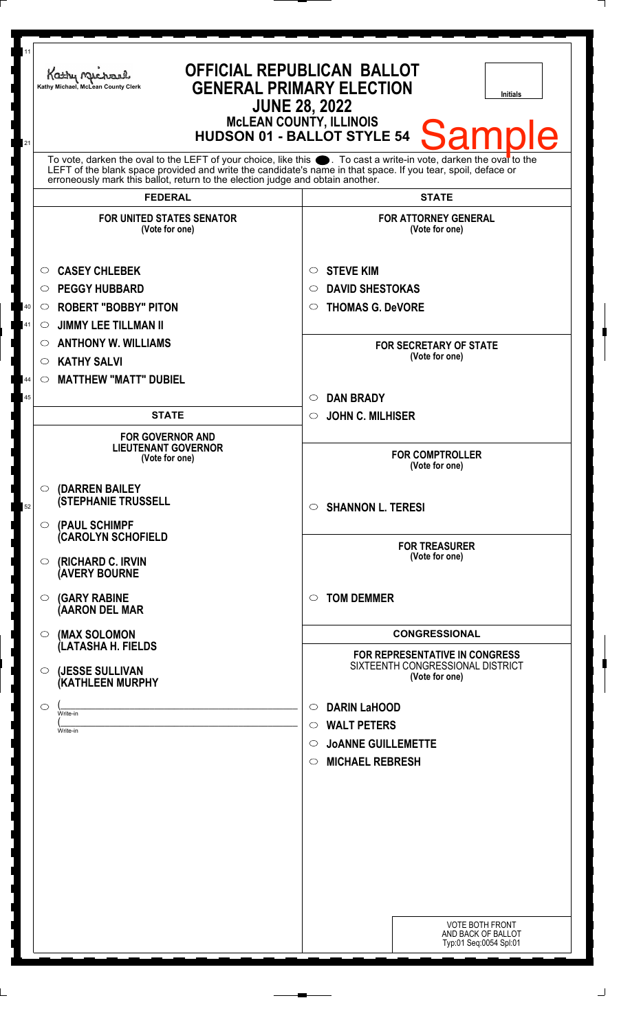| 11<br>21 | Kathy Michael<br>Kathy Michael, McLean County Clerk                                                                                                                                                                                                                                                                                      | <b>OFFICIAL REPUBLICAN BALLOT</b><br><b>GENERAL PRIMARY ELECTION</b><br><b>Initials</b><br><b>JUNE 28, 2022</b><br><b>McLEAN COUNTY, ILLINOIS</b><br><b>Sample</b><br><b>HUDSON 01 - BALLOT STYLE 54</b> |
|----------|------------------------------------------------------------------------------------------------------------------------------------------------------------------------------------------------------------------------------------------------------------------------------------------------------------------------------------------|----------------------------------------------------------------------------------------------------------------------------------------------------------------------------------------------------------|
|          | To vote, darken the oval to the LEFT of your choice, like this $\bullet$ . To cast a write-in vote, darken the oval to the LEFT of the blank space provided and write the candidate's name in that space. If you tear, spoil, deface<br>erroneously mark this ballot, return to the election judge and obtain another.<br><b>FEDERAL</b> | <b>STATE</b>                                                                                                                                                                                             |
|          | <b>FOR UNITED STATES SENATOR</b><br>(Vote for one)                                                                                                                                                                                                                                                                                       | <b>FOR ATTORNEY GENERAL</b><br>(Vote for one)                                                                                                                                                            |
| 40<br>41 | <b>CASEY CHLEBEK</b><br>◯<br><b>PEGGY HUBBARD</b><br>O<br><b>ROBERT "BOBBY" PITON</b><br>O<br><b>JIMMY LEE TILLMAN II</b><br>$\circ$                                                                                                                                                                                                     | <b>STEVE KIM</b><br>$\circ$<br><b>DAVID SHESTOKAS</b><br>$\circ$<br><b>THOMAS G. DeVORE</b><br>$\circ$                                                                                                   |
| 44       | <b>ANTHONY W. WILLIAMS</b><br>$\circ$<br><b>KATHY SALVI</b><br>$\circ$<br><b>MATTHEW "MATT" DUBIEL</b><br>$\circ$                                                                                                                                                                                                                        | <b>FOR SECRETARY OF STATE</b><br>(Vote for one)                                                                                                                                                          |
| 45       | <b>STATE</b>                                                                                                                                                                                                                                                                                                                             | <b>DAN BRADY</b><br>$\circ$<br><b>JOHN C. MILHISER</b><br>$\circ$                                                                                                                                        |
|          | <b>FOR GOVERNOR AND</b><br><b>LIEUTENANT GOVERNOR</b><br>(Vote for one)                                                                                                                                                                                                                                                                  | <b>FOR COMPTROLLER</b><br>(Vote for one)                                                                                                                                                                 |
| 52       | (DARREN BAILEY<br>$\circ$<br><b>(STEPHANIE TRUSSELL</b><br>(PAUL SCHIMPF<br>$\circ$                                                                                                                                                                                                                                                      | $\circ$ SHANNON L. TERESI                                                                                                                                                                                |
|          | <b>CAROLYN SCHOFIELD</b><br>(RICHARD C. IRVIN<br>O<br><b>(AVERY BOURNE</b>                                                                                                                                                                                                                                                               | <b>FOR TREASURER</b><br>(Vote for one)                                                                                                                                                                   |
|          | <b>(GARY RABINE</b><br>O<br>(AARON DEL MAR                                                                                                                                                                                                                                                                                               | <b>TOM DEMMER</b><br>$\bigcirc$                                                                                                                                                                          |
|          | (MAX SOLOMON<br>$\circ$<br>(LATASHA H. FIELDS<br>(JESSE SULLIVAN<br>O                                                                                                                                                                                                                                                                    | <b>CONGRESSIONAL</b><br>FOR REPRESENTATIVE IN CONGRESS<br>SIXTEENTH CONGRESSIONAL DISTRICT                                                                                                               |
|          | (KATHLEEN MURPHY<br>$\circ$<br>Write-in                                                                                                                                                                                                                                                                                                  | (Vote for one)<br><b>DARIN LaHOOD</b><br>$\circ$<br><b>WALT PETERS</b><br>$\bigcirc$                                                                                                                     |
|          | Write-in                                                                                                                                                                                                                                                                                                                                 | <b>JOANNE GUILLEMETTE</b><br>$\circ$<br><b>MICHAEL REBRESH</b><br>$\circ$                                                                                                                                |
|          |                                                                                                                                                                                                                                                                                                                                          |                                                                                                                                                                                                          |
|          |                                                                                                                                                                                                                                                                                                                                          | <b>VOTE BOTH FRONT</b><br>AND BACK OF BALLOT<br>Typ:01 Seq:0054 Spl:01                                                                                                                                   |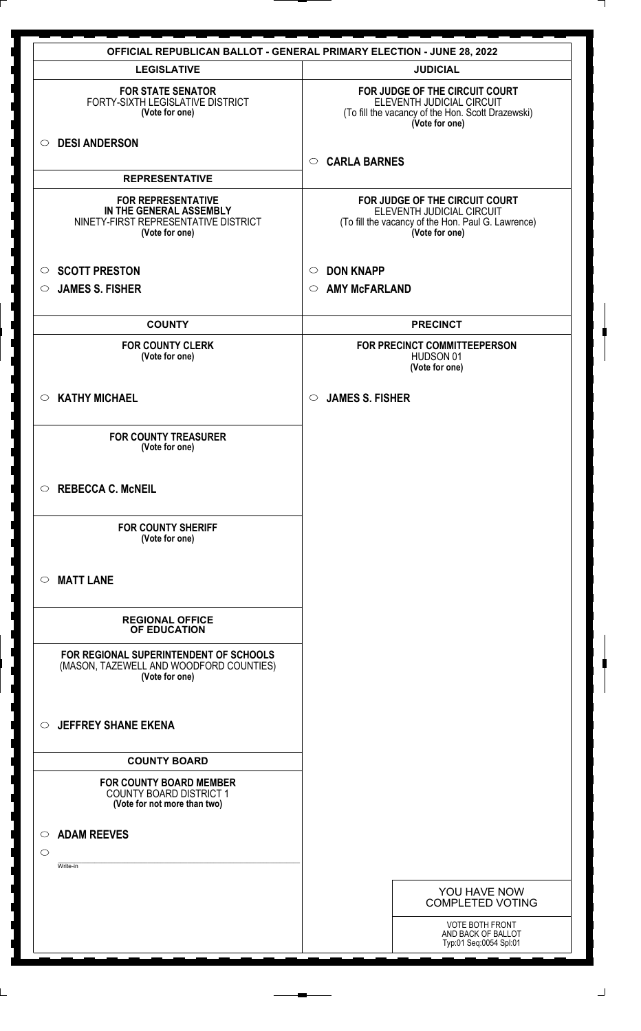|                                                                                                                | <b>OFFICIAL REPUBLICAN BALLOT - GENERAL PRIMARY ELECTION - JUNE 28, 2022</b>                                                        |
|----------------------------------------------------------------------------------------------------------------|-------------------------------------------------------------------------------------------------------------------------------------|
| <b>LEGISLATIVE</b>                                                                                             | <b>JUDICIAL</b>                                                                                                                     |
| <b>FOR STATE SENATOR</b><br>FORTY-SIXTH LEGISLATIVE DISTRICT<br>(Vote for one)                                 | FOR JUDGE OF THE CIRCUIT COURT<br>ELEVENTH JUDICIAL CIRCUIT<br>(To fill the vacancy of the Hon. Scott Drazewski)<br>(Vote for one)  |
| <b>DESI ANDERSON</b><br>$\circ$                                                                                | <b>CARLA BARNES</b><br>$\circ$                                                                                                      |
| <b>REPRESENTATIVE</b>                                                                                          |                                                                                                                                     |
| <b>FOR REPRESENTATIVE</b><br>IN THE GENERAL ASSEMBLY<br>NINETY-FIRST REPRESENTATIVE DISTRICT<br>(Vote for one) | FOR JUDGE OF THE CIRCUIT COURT<br>ELEVENTH JUDICIAL CIRCUIT<br>(To fill the vacancy of the Hon. Paul G. Lawrence)<br>(Vote for one) |
| <b>SCOTT PRESTON</b><br>$\circ$                                                                                | <b>DON KNAPP</b><br>$\circ$                                                                                                         |
| <b>JAMES S. FISHER</b><br>$\circ$                                                                              | <b>AMY McFARLAND</b><br>$\circ$                                                                                                     |
| <b>COUNTY</b>                                                                                                  | <b>PRECINCT</b>                                                                                                                     |
| <b>FOR COUNTY CLERK</b><br>(Vote for one)                                                                      | FOR PRECINCT COMMITTEEPERSON<br>HUDSON 01<br>(Vote for one)                                                                         |
| <b>KATHY MICHAEL</b><br>$\circ$                                                                                | <b>JAMES S. FISHER</b><br>$\circ$                                                                                                   |
| <b>FOR COUNTY TREASURER</b><br>(Vote for one)                                                                  |                                                                                                                                     |
| <b>REBECCA C. McNEIL</b><br>$\circ$                                                                            |                                                                                                                                     |
| <b>FOR COUNTY SHERIFF</b><br>(Vote for one)                                                                    |                                                                                                                                     |
| <b>MATT LANE</b><br>$\circ$                                                                                    |                                                                                                                                     |
| <b>REGIONAL OFFICE</b><br>OF EDUCATION                                                                         |                                                                                                                                     |
| FOR REGIONAL SUPERINTENDENT OF SCHOOLS<br>(MASON, TAZEWELL AND WOODFORD COUNTIES)<br>(Vote for one)            |                                                                                                                                     |
| <b>JEFFREY SHANE EKENA</b><br>$\circ$                                                                          |                                                                                                                                     |
| <b>COUNTY BOARD</b>                                                                                            |                                                                                                                                     |
| <b>FOR COUNTY BOARD MEMBER</b><br><b>COUNTY BOARD DISTRICT 1</b><br>(Vote for not more than two)               |                                                                                                                                     |
| <b>ADAM REEVES</b><br>$\circ$<br>$\circ$<br>Write-in                                                           |                                                                                                                                     |
|                                                                                                                | YOU HAVE NOW<br><b>COMPLETED VOTING</b>                                                                                             |
|                                                                                                                | <b>VOTE BOTH FRONT</b><br>AND BACK OF BALLOT<br>Typ:01 Seq:0054 Spl:01                                                              |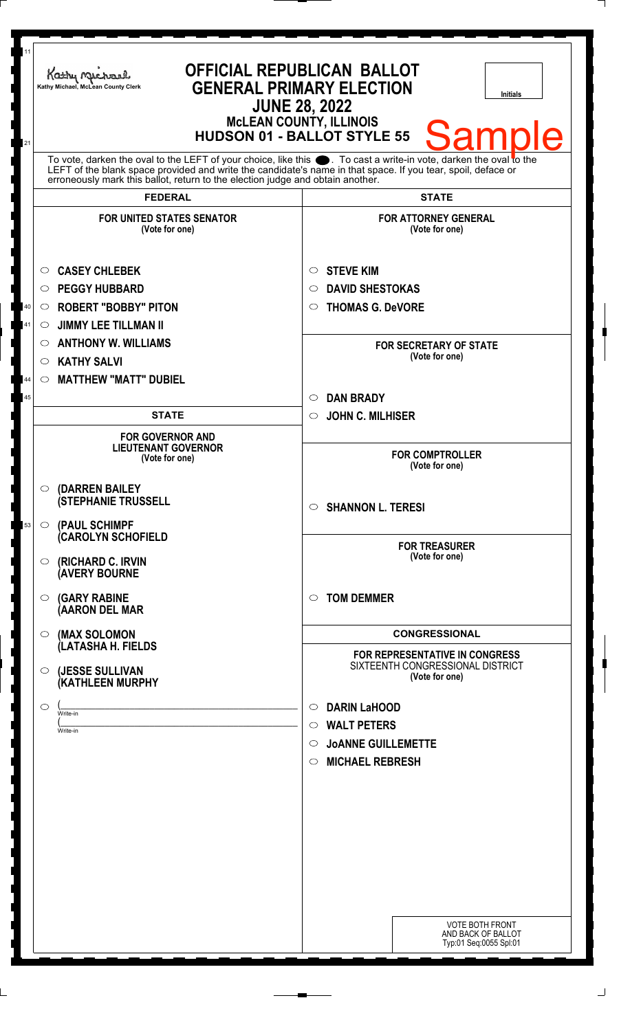| 11<br>21 | Kathy Michael<br>Kathy Michael, McLean County Clerk                                                                                                                                                                                                                                                                    | <b>OFFICIAL REPUBLICAN BALLOT</b><br><b>GENERAL PRIMARY ELECTION</b><br>Initials<br><b>JUNE 28, 2022</b><br><b>McLEAN COUNTY, ILLINOIS</b><br>Samı<br><b>HUDSON 01 - BALLOT STYLE 55</b> |
|----------|------------------------------------------------------------------------------------------------------------------------------------------------------------------------------------------------------------------------------------------------------------------------------------------------------------------------|------------------------------------------------------------------------------------------------------------------------------------------------------------------------------------------|
|          | To vote, darken the oval to the LEFT of your choice, like this $\bullet$ . To cast a write-in vote, darken the oval to the LEFT of the blank space provided and write the candidate's name in that space. If you tear, spoil, deface<br>erroneously mark this ballot, return to the election judge and obtain another. |                                                                                                                                                                                          |
|          | <b>FEDERAL</b><br><b>FOR UNITED STATES SENATOR</b><br>(Vote for one)                                                                                                                                                                                                                                                   | <b>STATE</b><br><b>FOR ATTORNEY GENERAL</b><br>(Vote for one)                                                                                                                            |
| 40<br>41 | <b>CASEY CHLEBEK</b><br>$\circ$<br><b>PEGGY HUBBARD</b><br>O<br><b>ROBERT "BOBBY" PITON</b><br>$\circ$<br><b>JIMMY LEE TILLMAN II</b><br>$\circ$<br><b>ANTHONY W. WILLIAMS</b><br>$\circ$                                                                                                                              | <b>STEVE KIM</b><br>$\circ$<br><b>DAVID SHESTOKAS</b><br>$\circlearrowright$<br><b>THOMAS G. DeVORE</b><br>$\circ$<br><b>FOR SECRETARY OF STATE</b>                                      |
| 44<br>45 | <b>KATHY SALVI</b><br>$\circ$<br><b>MATTHEW "MATT" DUBIEL</b><br>$\circ$<br><b>STATE</b>                                                                                                                                                                                                                               | (Vote for one)<br><b>DAN BRADY</b><br>$\circlearrowright$<br>$\circ$                                                                                                                     |
|          | <b>FOR GOVERNOR AND</b><br><b>LIEUTENANT GOVERNOR</b><br>(Vote for one)                                                                                                                                                                                                                                                | <b>JOHN C. MILHISER</b><br><b>FOR COMPTROLLER</b><br>(Vote for one)                                                                                                                      |
| 53       | (DARREN BAILEY<br>$\circ$<br><b>(STEPHANIE TRUSSELL</b><br>(PAUL SCHIMPF<br>$\circ$                                                                                                                                                                                                                                    | $\circ$ SHANNON L. TERESI                                                                                                                                                                |
|          | (CAROLYN SCHOFIELD<br>(RICHARD C. IRVIN<br>$\circ$<br><b>(AVERY BOURNE</b>                                                                                                                                                                                                                                             | <b>FOR TREASURER</b><br>(Vote for one)                                                                                                                                                   |
|          | <b>(GARY RABINE</b><br>$\circ$<br>(AARON DEL MAR                                                                                                                                                                                                                                                                       | <b>TOM DEMMER</b><br>$\circ$                                                                                                                                                             |
|          | (MAX SOLOMON<br>$\circ$<br>(LATASHA H. FIELDS                                                                                                                                                                                                                                                                          | <b>CONGRESSIONAL</b><br>FOR REPRESENTATIVE IN CONGRESS<br>SIXTEENTH CONGRESSIONAL DISTRICT                                                                                               |
|          | (JESSE SULLIVAN<br>$\circ$<br><b>(KATHLEEN MURPHY</b><br>$\circ$<br>Write-in<br>Write-in                                                                                                                                                                                                                               | (Vote for one)<br><b>DARIN LaHOOD</b><br>$\circ$<br><b>WALT PETERS</b><br>$\bigcirc$<br><b>JOANNE GUILLEMETTE</b><br>$\circ$<br><b>MICHAEL REBRESH</b><br>$\circ$                        |
|          |                                                                                                                                                                                                                                                                                                                        | <b>VOTE BOTH FRONT</b><br>AND BACK OF BALLOT<br>Typ:01 Seq:0055 Spl:01                                                                                                                   |